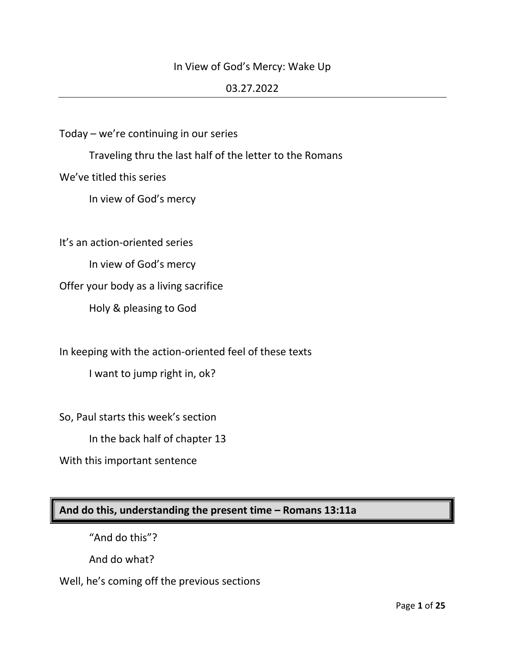## In View of God's Mercy: Wake Up

#### 03.27.2022

Today – we're continuing in our series

Traveling thru the last half of the letter to the Romans

We've titled this series

In view of God's mercy

It's an action-oriented series

In view of God's mercy

Offer your body as a living sacrifice

Holy & pleasing to God

In keeping with the action-oriented feel of these texts

I want to jump right in, ok?

So, Paul starts this week's section

In the back half of chapter 13

With this important sentence

**And do this, understanding the present time – Romans 13:11a**

"And do this"?

And do what?

Well, he's coming off the previous sections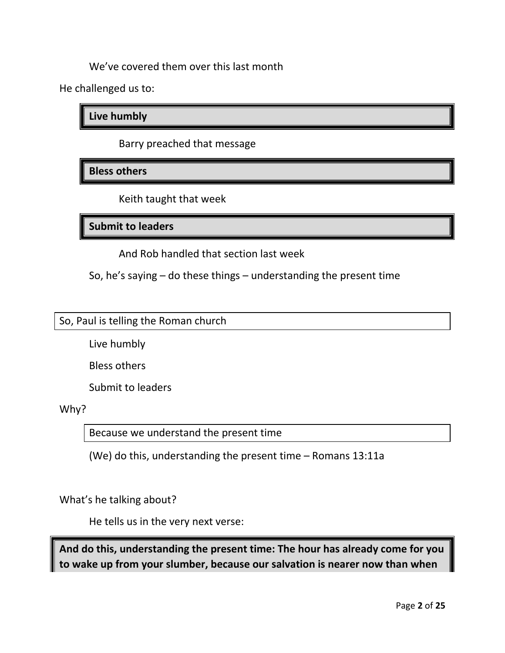We've covered them over this last month

He challenged us to:

**Live humbly**

Barry preached that message

**Bless others**

Keith taught that week

**Submit to leaders**

And Rob handled that section last week

So, he's saying – do these things – understanding the present time

So, Paul is telling the Roman church

Live humbly

Bless others

Submit to leaders

Why?

Because we understand the present time

(We) do this, understanding the present time – Romans 13:11a

What's he talking about?

He tells us in the very next verse:

**And do this, understanding the present time: The hour has already come for you to wake up from your slumber, because our salvation is nearer now than when**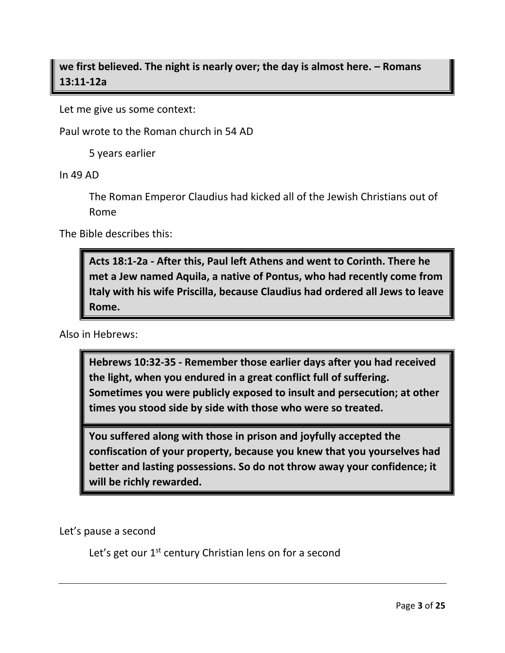**we first believed. The night is nearly over; the day is almost here. – Romans 13:11-12a**

Let me give us some context:

Paul wrote to the Roman church in 54 AD

5 years earlier

In 49 AD

The Roman Emperor Claudius had kicked all of the Jewish Christians out of Rome

The Bible describes this:

**Acts 18:1-2a - After this, Paul left Athens and went to Corinth. There he met a Jew named Aquila, a native of Pontus, who had recently come from Italy with his wife Priscilla, because Claudius had ordered all Jews to leave Rome.**

Also in Hebrews:

**Hebrews 10:32-35 - Remember those earlier days after you had received the light, when you endured in a great conflict full of suffering. Sometimes you were publicly exposed to insult and persecution; at other times you stood side by side with those who were so treated.** 

**You suffered along with those in prison and joyfully accepted the confiscation of your property, because you knew that you yourselves had better and lasting possessions. So do not throw away your confidence; it will be richly rewarded.**

Let's pause a second

Let's get our 1<sup>st</sup> century Christian lens on for a second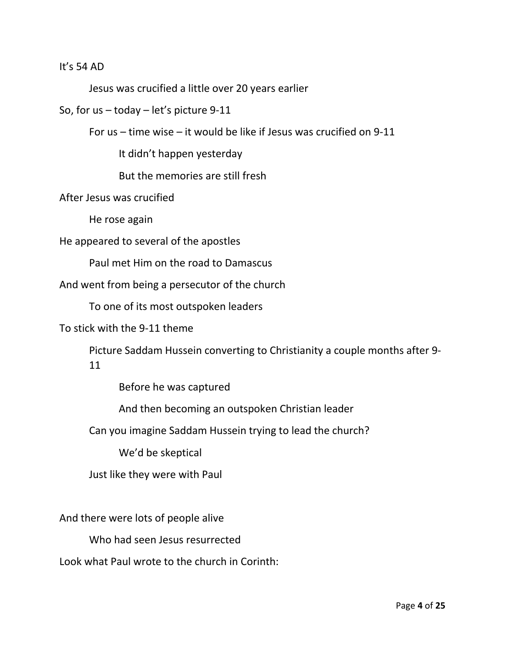#### It's 54 AD

Jesus was crucified a little over 20 years earlier

So, for us – today – let's picture 9-11

For us – time wise – it would be like if Jesus was crucified on 9-11

It didn't happen yesterday

But the memories are still fresh

After Jesus was crucified

He rose again

He appeared to several of the apostles

Paul met Him on the road to Damascus

And went from being a persecutor of the church

To one of its most outspoken leaders

To stick with the 9-11 theme

Picture Saddam Hussein converting to Christianity a couple months after 9- 11

Before he was captured

And then becoming an outspoken Christian leader

Can you imagine Saddam Hussein trying to lead the church?

We'd be skeptical

Just like they were with Paul

And there were lots of people alive

Who had seen Jesus resurrected

Look what Paul wrote to the church in Corinth: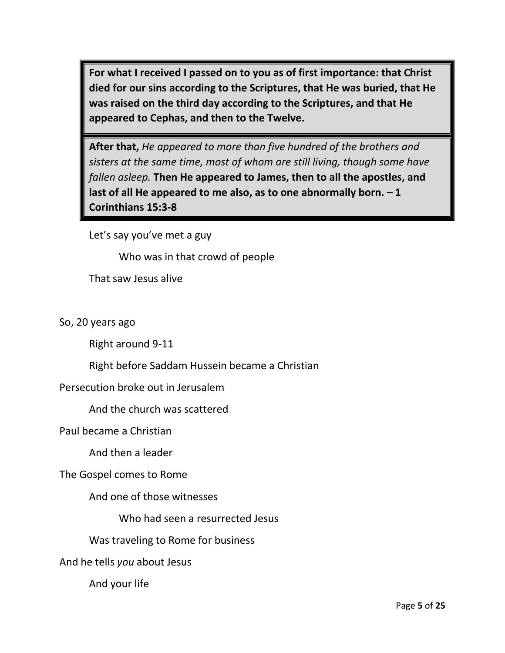**For what I received I passed on to you as of first importance: that Christ died for our sins according to the Scriptures, that He was buried, that He was raised on the third day according to the Scriptures, and that He appeared to Cephas, and then to the Twelve.** 

**After that,** *He appeared to more than five hundred of the brothers and sisters at the same time, most of whom are still living, though some have fallen asleep.* **Then He appeared to James, then to all the apostles, and last of all He appeared to me also, as to one abnormally born. – 1 Corinthians 15:3-8**

Let's say you've met a guy

Who was in that crowd of people

That saw Jesus alive

So, 20 years ago

Right around 9-11

Right before Saddam Hussein became a Christian

Persecution broke out in Jerusalem

And the church was scattered

Paul became a Christian

And then a leader

The Gospel comes to Rome

And one of those witnesses

Who had seen a resurrected Jesus

Was traveling to Rome for business

And he tells *you* about Jesus

And your life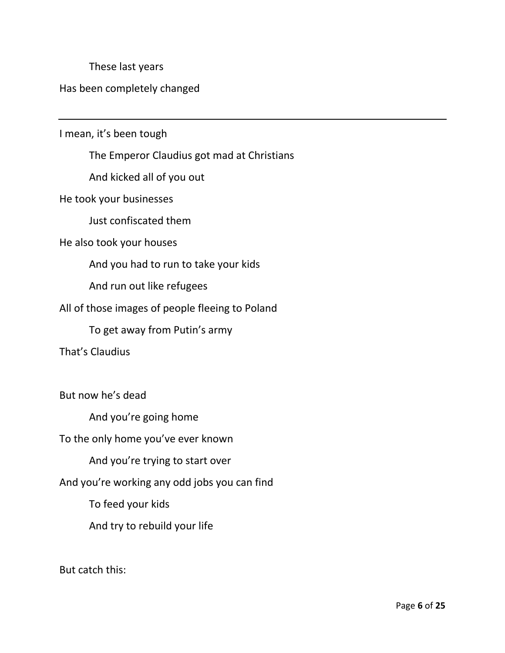These last years

## Has been completely changed

I mean, it's been tough

The Emperor Claudius got mad at Christians

And kicked all of you out

He took your businesses

Just confiscated them

#### He also took your houses

And you had to run to take your kids

And run out like refugees

### All of those images of people fleeing to Poland

To get away from Putin's army

That's Claudius

But now he's dead

And you're going home

To the only home you've ever known

And you're trying to start over

And you're working any odd jobs you can find

To feed your kids

And try to rebuild your life

But catch this: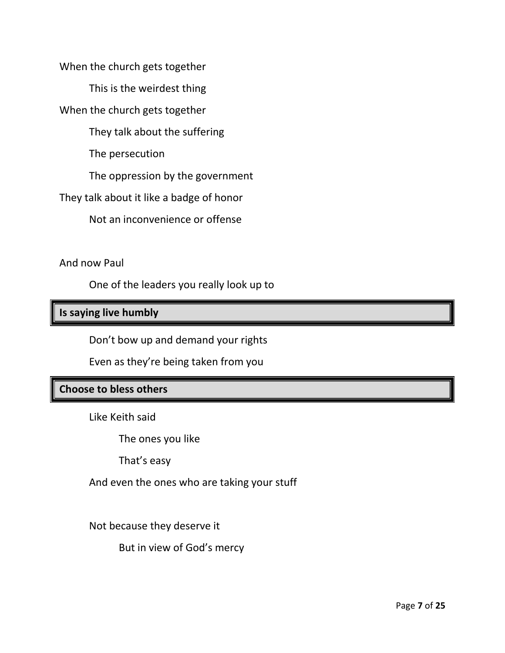When the church gets together

This is the weirdest thing

When the church gets together

They talk about the suffering

The persecution

The oppression by the government

They talk about it like a badge of honor

Not an inconvenience or offense

And now Paul

One of the leaders you really look up to

## **Is saying live humbly**

Don't bow up and demand your rights

Even as they're being taken from you

## **Choose to bless others**

Like Keith said

The ones you like

That's easy

And even the ones who are taking your stuff

Not because they deserve it

But in view of God's mercy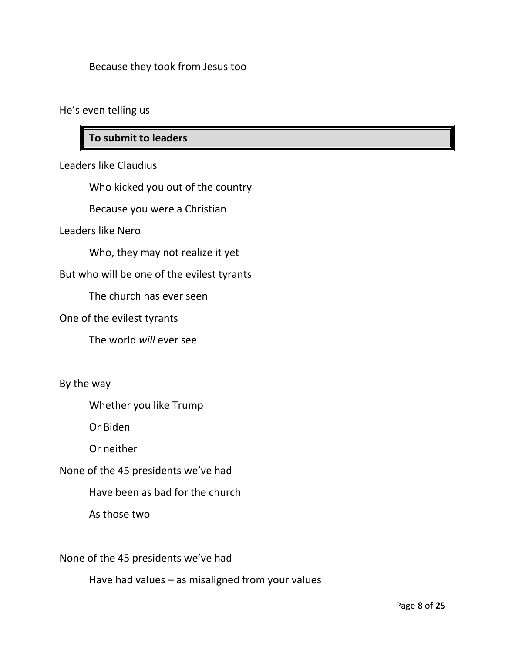## Because they took from Jesus too

He's even telling us

# **To submit to leaders**

Leaders like Claudius

Who kicked you out of the country

Because you were a Christian

Leaders like Nero

Who, they may not realize it yet

But who will be one of the evilest tyrants

The church has ever seen

One of the evilest tyrants

The world *will* ever see

By the way

Whether you like Trump

Or Biden

Or neither

None of the 45 presidents we've had

Have been as bad for the church

As those two

None of the 45 presidents we've had

Have had values – as misaligned from your values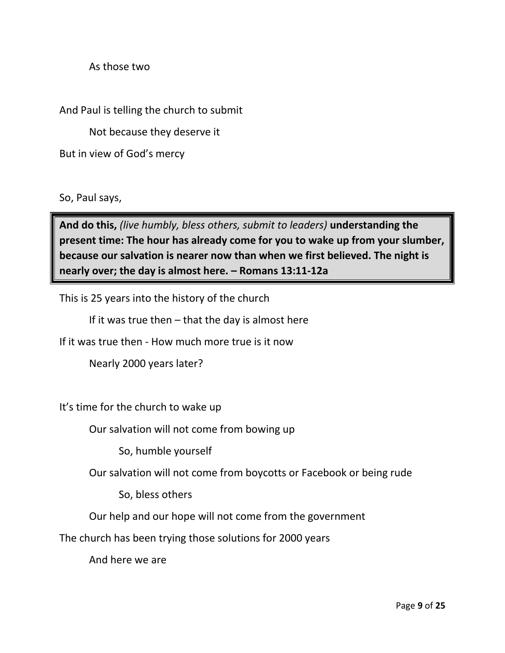As those two

And Paul is telling the church to submit

Not because they deserve it

But in view of God's mercy

So, Paul says,

**And do this,** *(live humbly, bless others, submit to leaders)* **understanding the present time: The hour has already come for you to wake up from your slumber, because our salvation is nearer now than when we first believed. The night is nearly over; the day is almost here. – Romans 13:11-12a**

This is 25 years into the history of the church

If it was true then  $-$  that the day is almost here

If it was true then - How much more true is it now

Nearly 2000 years later?

It's time for the church to wake up

Our salvation will not come from bowing up

So, humble yourself

Our salvation will not come from boycotts or Facebook or being rude

So, bless others

Our help and our hope will not come from the government

The church has been trying those solutions for 2000 years

And here we are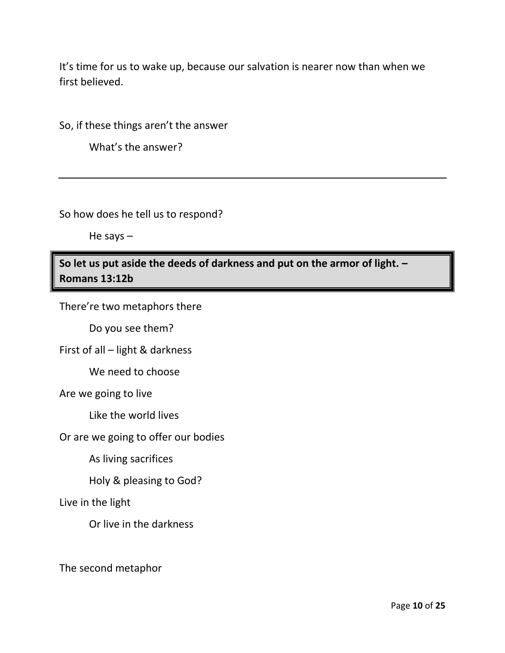It's time for us to wake up, because our salvation is nearer now than when we first believed.

So, if these things aren't the answer

What's the answer?

So how does he tell us to respond?

He says –

**So let us put aside the deeds of darkness and put on the armor of light. – Romans 13:12b**

There're two metaphors there

Do you see them?

First of all – light & darkness

We need to choose

Are we going to live

Like the world lives

Or are we going to offer our bodies

As living sacrifices

Holy & pleasing to God?

Live in the light

Or live in the darkness

The second metaphor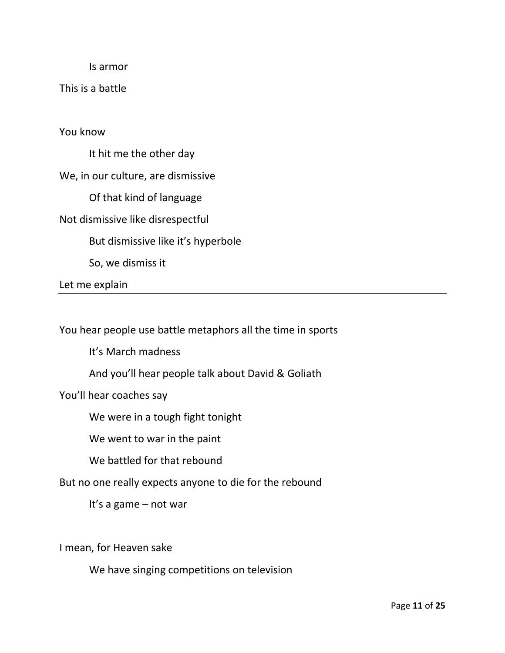Is armor

This is a battle

You know

It hit me the other day

We, in our culture, are dismissive

Of that kind of language

Not dismissive like disrespectful

But dismissive like it's hyperbole

So, we dismiss it

Let me explain

You hear people use battle metaphors all the time in sports

It's March madness

And you'll hear people talk about David & Goliath

You'll hear coaches say

We were in a tough fight tonight

We went to war in the paint

We battled for that rebound

But no one really expects anyone to die for the rebound

It's a game – not war

I mean, for Heaven sake

We have singing competitions on television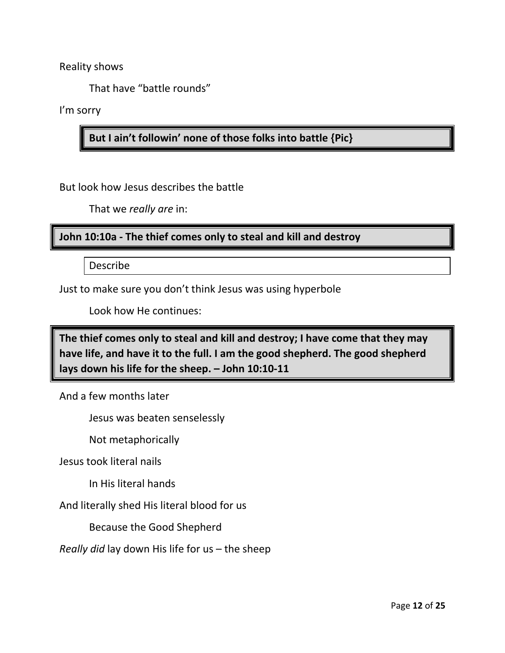Reality shows

That have "battle rounds"

I'm sorry

**But I ain't followin' none of those folks into battle {Pic}**

But look how Jesus describes the battle

That we *really are* in:

**John 10:10a - The thief comes only to steal and kill and destroy**

Describe

Just to make sure you don't think Jesus was using hyperbole

Look how He continues:

**The thief comes only to steal and kill and destroy; I have come that they may have life, and have it to the full. I am the good shepherd. The good shepherd lays down his life for the sheep. – John 10:10-11**

And a few months later

Jesus was beaten senselessly

Not metaphorically

Jesus took literal nails

In His literal hands

And literally shed His literal blood for us

Because the Good Shepherd

*Really did* lay down His life for us – the sheep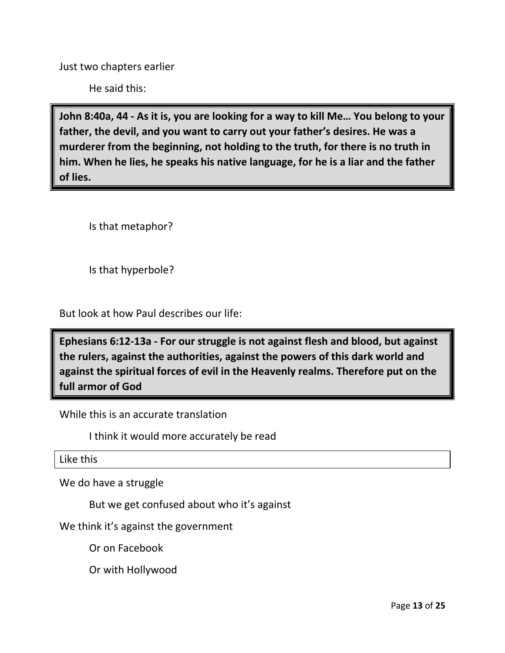Just two chapters earlier

He said this:

**John 8:40a, 44 - As it is, you are looking for a way to kill Me… You belong to your father, the devil, and you want to carry out your father's desires. He was a murderer from the beginning, not holding to the truth, for there is no truth in him. When he lies, he speaks his native language, for he is a liar and the father of lies.**

Is that metaphor?

Is that hyperbole?

But look at how Paul describes our life:

**Ephesians 6:12-13a - For our struggle is not against flesh and blood, but against the rulers, against the authorities, against the powers of this dark world and against the spiritual forces of evil in the Heavenly realms. Therefore put on the full armor of God**

While this is an accurate translation

I think it would more accurately be read

Like this

We do have a struggle

But we get confused about who it's against

We think it's against the government

Or on Facebook

Or with Hollywood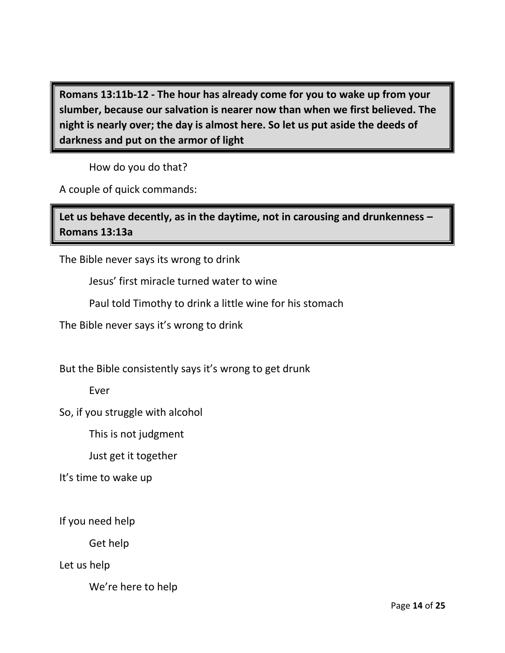**Romans 13:11b-12 - The hour has already come for you to wake up from your slumber, because our salvation is nearer now than when we first believed. The night is nearly over; the day is almost here. So let us put aside the deeds of darkness and put on the armor of light**

How do you do that?

A couple of quick commands:

**Let us behave decently, as in the daytime, not in carousing and drunkenness – Romans 13:13a**

The Bible never says its wrong to drink

Jesus' first miracle turned water to wine

Paul told Timothy to drink a little wine for his stomach

The Bible never says it's wrong to drink

But the Bible consistently says it's wrong to get drunk

Ever

So, if you struggle with alcohol

This is not judgment

Just get it together

It's time to wake up

If you need help

Get help

Let us help

We're here to help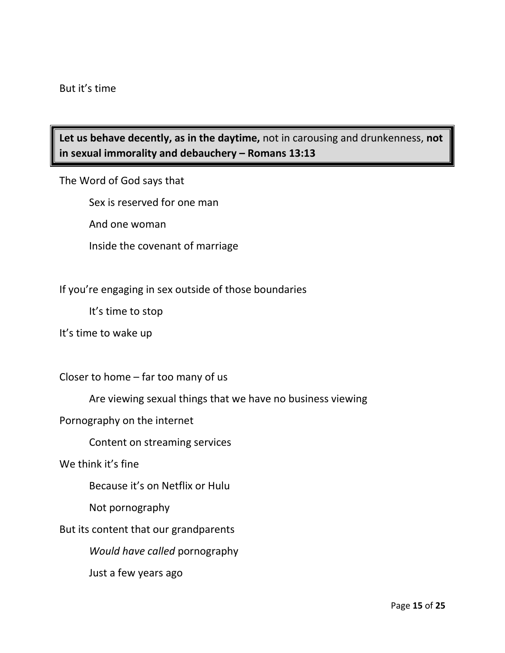# **Let us behave decently, as in the daytime,** not in carousing and drunkenness, **not in sexual immorality and debauchery – Romans 13:13**

The Word of God says that

Sex is reserved for one man

And one woman

Inside the covenant of marriage

#### If you're engaging in sex outside of those boundaries

It's time to stop

It's time to wake up

Closer to home – far too many of us

Are viewing sexual things that we have no business viewing

Pornography on the internet

Content on streaming services

We think it's fine

Because it's on Netflix or Hulu

Not pornography

But its content that our grandparents

*Would have called* pornography

Just a few years ago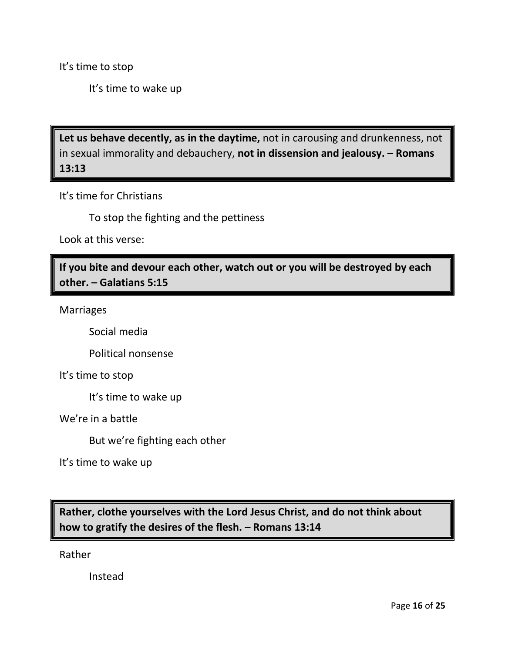It's time to stop

It's time to wake up

**Let us behave decently, as in the daytime,** not in carousing and drunkenness, not in sexual immorality and debauchery, **not in dissension and jealousy. – Romans 13:13**

It's time for Christians

To stop the fighting and the pettiness

Look at this verse:

**If you bite and devour each other, watch out or you will be destroyed by each other. – Galatians 5:15**

Marriages

Social media

Political nonsense

It's time to stop

It's time to wake up

We're in a battle

But we're fighting each other

It's time to wake up

**Rather, clothe yourselves with the Lord Jesus Christ, and do not think about how to gratify the desires of the flesh. – Romans 13:14**

Rather

Instead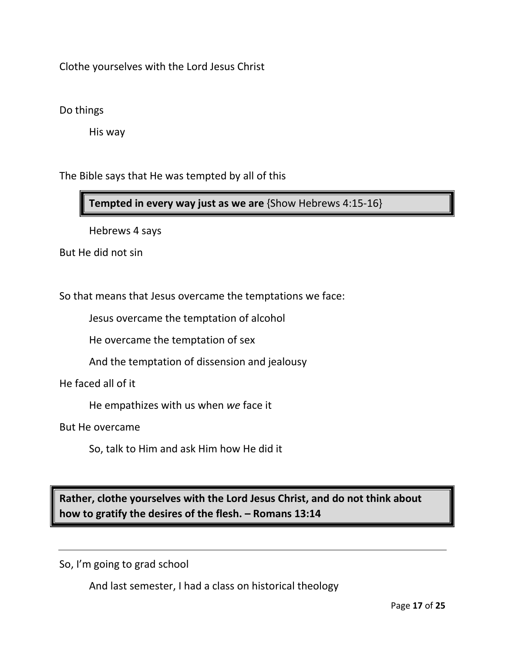Clothe yourselves with the Lord Jesus Christ

## Do things

His way

The Bible says that He was tempted by all of this

**Tempted in every way just as we are** {Show Hebrews 4:15-16}

Hebrews 4 says

But He did not sin

So that means that Jesus overcame the temptations we face:

Jesus overcame the temptation of alcohol

He overcame the temptation of sex

And the temptation of dissension and jealousy

He faced all of it

He empathizes with us when *we* face it

But He overcame

So, talk to Him and ask Him how He did it

**Rather, clothe yourselves with the Lord Jesus Christ, and do not think about how to gratify the desires of the flesh. – Romans 13:14**

So, I'm going to grad school

And last semester, I had a class on historical theology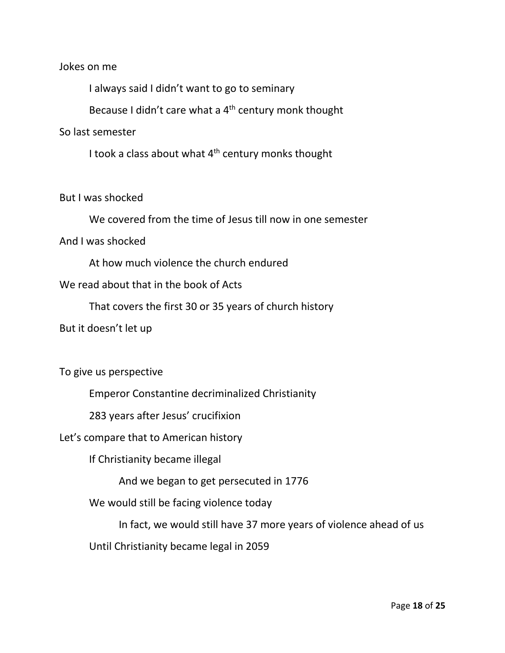#### Jokes on me

I always said I didn't want to go to seminary

Because I didn't care what a  $4<sup>th</sup>$  century monk thought

#### So last semester

I took a class about what  $4<sup>th</sup>$  century monks thought

#### But I was shocked

We covered from the time of Jesus till now in one semester

### And I was shocked

At how much violence the church endured

## We read about that in the book of Acts

That covers the first 30 or 35 years of church history

But it doesn't let up

### To give us perspective

Emperor Constantine decriminalized Christianity

283 years after Jesus' crucifixion

### Let's compare that to American history

If Christianity became illegal

And we began to get persecuted in 1776

We would still be facing violence today

In fact, we would still have 37 more years of violence ahead of us

Until Christianity became legal in 2059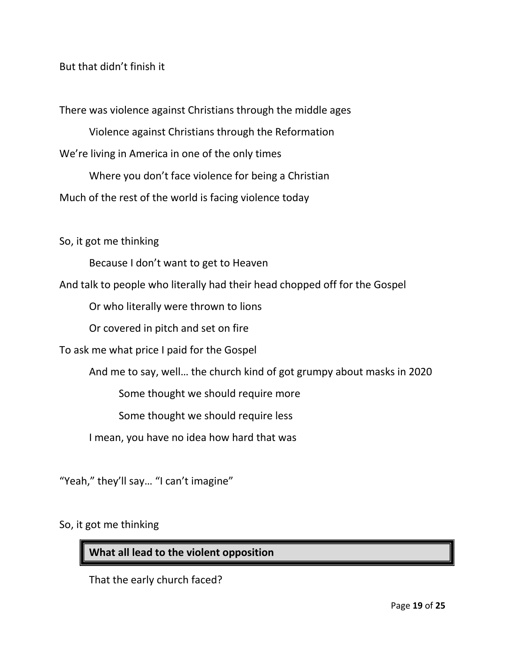### But that didn't finish it

There was violence against Christians through the middle ages

Violence against Christians through the Reformation We're living in America in one of the only times

Where you don't face violence for being a Christian Much of the rest of the world is facing violence today

So, it got me thinking

Because I don't want to get to Heaven

And talk to people who literally had their head chopped off for the Gospel

Or who literally were thrown to lions

Or covered in pitch and set on fire

To ask me what price I paid for the Gospel

And me to say, well… the church kind of got grumpy about masks in 2020

Some thought we should require more

Some thought we should require less

I mean, you have no idea how hard that was

"Yeah," they'll say… "I can't imagine"

So, it got me thinking

**What all lead to the violent opposition**

That the early church faced?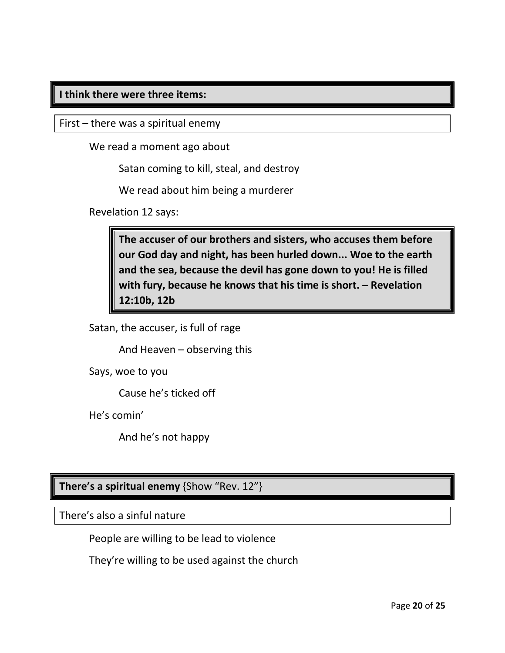## **I think there were three items:**

First – there was a spiritual enemy

We read a moment ago about

Satan coming to kill, steal, and destroy

We read about him being a murderer

Revelation 12 says:

**The accuser of our brothers and sisters, who accuses them before our God day and night, has been hurled down... Woe to the earth and the sea, because the devil has gone down to you! He is filled with fury, because he knows that his time is short. – Revelation 12:10b, 12b**

Satan, the accuser, is full of rage

And Heaven – observing this

Says, woe to you

Cause he's ticked off

He's comin'

And he's not happy

**There's a spiritual enemy** {Show "Rev. 12"}

There's also a sinful nature

People are willing to be lead to violence

They're willing to be used against the church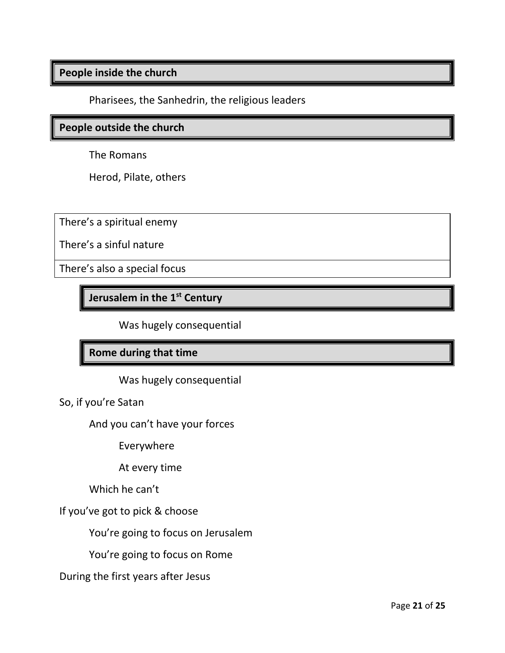## **People inside the church**

Pharisees, the Sanhedrin, the religious leaders

#### **People outside the church**

The Romans

Herod, Pilate, others

There's a spiritual enemy

There's a sinful nature

There's also a special focus

**Jerusalem in the 1st Century**

Was hugely consequential

## **Rome during that time**

Was hugely consequential

So, if you're Satan

And you can't have your forces

Everywhere

At every time

Which he can't

If you've got to pick & choose

You're going to focus on Jerusalem

You're going to focus on Rome

During the first years after Jesus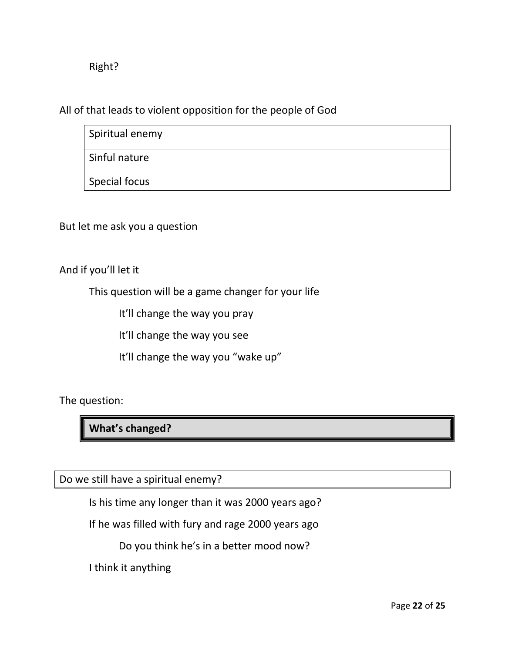## Right?

All of that leads to violent opposition for the people of God

| Spiritual enemy      |  |
|----------------------|--|
| Sinful nature        |  |
| <b>Special focus</b> |  |

But let me ask you a question

And if you'll let it

This question will be a game changer for your life

It'll change the way you pray

It'll change the way you see

It'll change the way you "wake up"

The question:

**What's changed?**

Do we still have a spiritual enemy?

Is his time any longer than it was 2000 years ago?

If he was filled with fury and rage 2000 years ago

Do you think he's in a better mood now?

I think it anything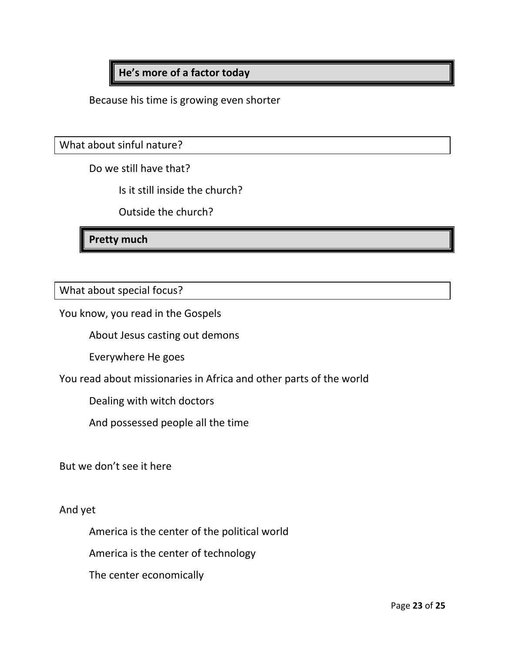**He's more of a factor today**

Because his time is growing even shorter

What about sinful nature?

Do we still have that?

Is it still inside the church?

Outside the church?

**Pretty much**

What about special focus?

You know, you read in the Gospels

About Jesus casting out demons

Everywhere He goes

You read about missionaries in Africa and other parts of the world

Dealing with witch doctors

And possessed people all the time

But we don't see it here

And yet

America is the center of the political world

America is the center of technology

The center economically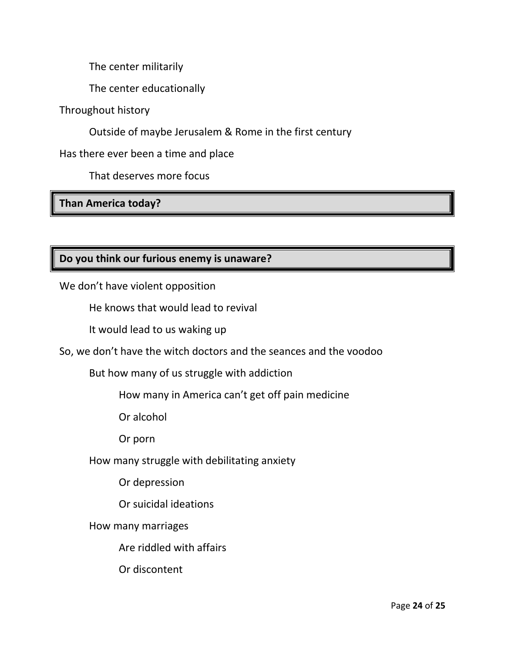The center militarily

The center educationally

Throughout history

Outside of maybe Jerusalem & Rome in the first century

Has there ever been a time and place

That deserves more focus

**Than America today?**

# **Do you think our furious enemy is unaware?**

We don't have violent opposition

He knows that would lead to revival

It would lead to us waking up

So, we don't have the witch doctors and the seances and the voodoo

But how many of us struggle with addiction

How many in America can't get off pain medicine

Or alcohol

Or porn

How many struggle with debilitating anxiety

Or depression

Or suicidal ideations

How many marriages

Are riddled with affairs

Or discontent